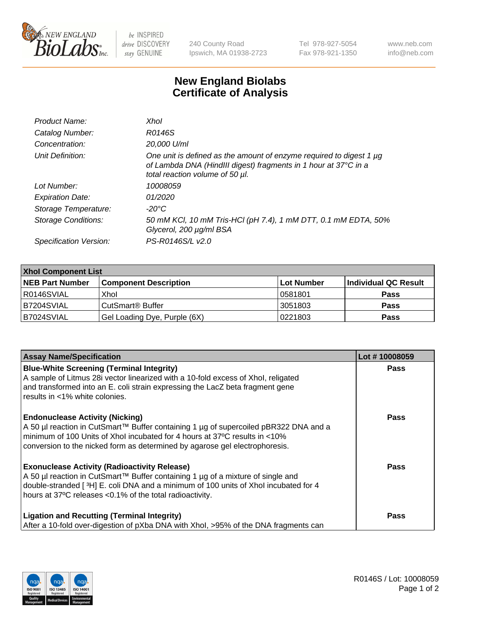

 $be$  INSPIRED drive DISCOVERY stay GENUINE

240 County Road Ipswich, MA 01938-2723 Tel 978-927-5054 Fax 978-921-1350 www.neb.com info@neb.com

## **New England Biolabs Certificate of Analysis**

| Product Name:           | Xhol                                                                                                                                                                      |
|-------------------------|---------------------------------------------------------------------------------------------------------------------------------------------------------------------------|
| Catalog Number:         | R0146S                                                                                                                                                                    |
| Concentration:          | 20,000 U/ml                                                                                                                                                               |
| Unit Definition:        | One unit is defined as the amount of enzyme required to digest 1 µg<br>of Lambda DNA (HindIII digest) fragments in 1 hour at 37°C in a<br>total reaction volume of 50 µl. |
| Lot Number:             | 10008059                                                                                                                                                                  |
| <b>Expiration Date:</b> | 01/2020                                                                                                                                                                   |
| Storage Temperature:    | -20°C                                                                                                                                                                     |
| Storage Conditions:     | 50 mM KCl, 10 mM Tris-HCl (pH 7.4), 1 mM DTT, 0.1 mM EDTA, 50%<br>Glycerol, 200 µg/ml BSA                                                                                 |
| Specification Version:  | PS-R0146S/L v2.0                                                                                                                                                          |

| <b>Xhol Component List</b> |                              |            |                      |  |  |
|----------------------------|------------------------------|------------|----------------------|--|--|
| <b>NEB Part Number</b>     | <b>Component Description</b> | Lot Number | Individual QC Result |  |  |
| R0146SVIAL                 | Xhol                         | 10581801   | <b>Pass</b>          |  |  |
| IB7204SVIAL                | CutSmart® Buffer             | 3051803    | <b>Pass</b>          |  |  |
| B7024SVIAL                 | Gel Loading Dye, Purple (6X) | 0221803    | <b>Pass</b>          |  |  |

| <b>Assay Name/Specification</b>                                                                                                                                                                                                                                                           | Lot #10008059 |
|-------------------------------------------------------------------------------------------------------------------------------------------------------------------------------------------------------------------------------------------------------------------------------------------|---------------|
| <b>Blue-White Screening (Terminal Integrity)</b><br>A sample of Litmus 28i vector linearized with a 10-fold excess of Xhol, religated<br>and transformed into an E. coli strain expressing the LacZ beta fragment gene                                                                    | <b>Pass</b>   |
| results in <1% white colonies.<br><b>Endonuclease Activity (Nicking)</b>                                                                                                                                                                                                                  | <b>Pass</b>   |
| A 50 µl reaction in CutSmart™ Buffer containing 1 µg of supercoiled pBR322 DNA and a<br>minimum of 100 Units of Xhol incubated for 4 hours at 37°C results in <10%<br>conversion to the nicked form as determined by agarose gel electrophoresis.                                         |               |
| <b>Exonuclease Activity (Radioactivity Release)</b><br>A 50 µl reaction in CutSmart™ Buffer containing 1 µg of a mixture of single and<br>double-stranded [3H] E. coli DNA and a minimum of 100 units of Xhol incubated for 4<br>hours at 37°C releases <0.1% of the total radioactivity. | <b>Pass</b>   |
| <b>Ligation and Recutting (Terminal Integrity)</b><br>After a 10-fold over-digestion of pXba DNA with Xhol, >95% of the DNA fragments can                                                                                                                                                 | <b>Pass</b>   |